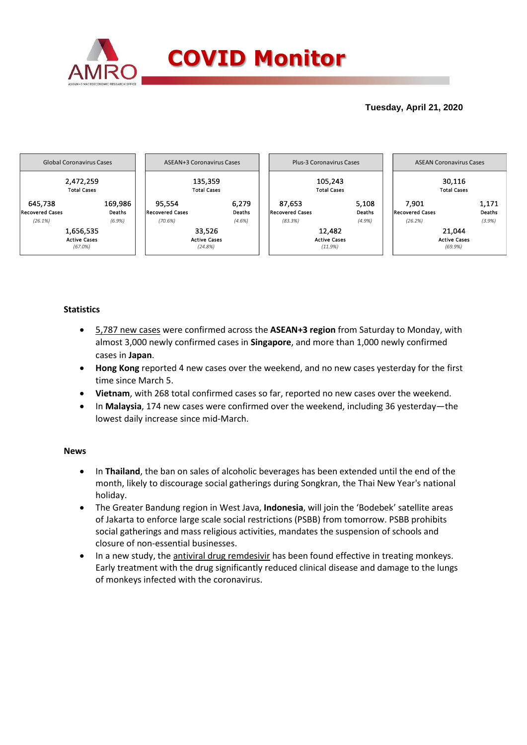

## **Tuesday, April 21, 2020**



## **Statistics**

- 5,787 new cases were confirmed across the **ASEAN+3 region** from Saturday to Monday, with almost 3,000 newly confirmed cases in **Singapore**, and more than 1,000 newly confirmed cases in **Japan**.
- **Hong Kong** reported 4 new cases over the weekend, and no new cases yesterday for the first time since March 5.
- **Vietnam**, with 268 total confirmed cases so far, reported no new cases over the weekend.
- In **Malaysia**, 174 new cases were confirmed over the weekend, including 36 yesterday—the lowest daily increase since mid-March.

### **News**

- In **Thailand**, the ban on sales of alcoholic beverages has been extended until the end of the month, likely to discourage social gatherings during Songkran, the Thai New Year's national holiday.
- The Greater Bandung region in West Java, **Indonesia**, will join the 'Bodebek' satellite areas of Jakarta to enforce large scale social restrictions (PSBB) from tomorrow. PSBB prohibits social gatherings and mass religious activities, mandates the suspension of schools and closure of non-essential businesses.
- In a new study, the antiviral drug remdesivir has been found effective in treating monkeys. Early treatment with the drug significantly reduced clinical disease and damage to the lungs of monkeys infected with the coronavirus.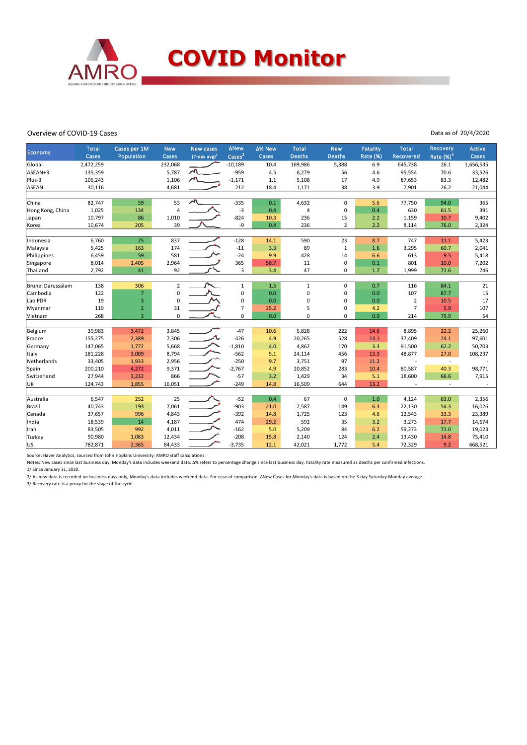

#### Overview of COVID-19 Cases

Data as of 20/4/2020

| Economy           | <b>Total</b><br>Cases | Cases per 1M<br>Population | <b>New</b><br>Cases | <b>New cases</b><br>$(7$ -day avg $)^1$ | <b>ANew</b><br>Cases <sup>2</sup> | ∆% New<br>Cases | <b>Total</b><br><b>Deaths</b> | <b>New</b><br><b>Deaths</b> | <b>Fatality</b><br>Rate (%) | <b>Total</b><br>Recovered | Recovery<br>Rate $(\%)^3$ | <b>Active</b><br>Cases |
|-------------------|-----------------------|----------------------------|---------------------|-----------------------------------------|-----------------------------------|-----------------|-------------------------------|-----------------------------|-----------------------------|---------------------------|---------------------------|------------------------|
| Global            | 2,472,259             |                            | 232,068             |                                         | $-10,189$                         | 10.4            | 169,986                       | 5,388                       | 6.9                         | 645,738                   | 26.1                      | 1,656,535              |
| ASEAN+3           | 135,359               |                            | 5,787               | $\lambda$                               | $-959$                            | 4.5             | 6,279                         | 56                          | 4.6                         | 95,554                    | 70.6                      | 33,526                 |
| Plus-3            | 105,243               |                            | 1,106               |                                         | $-1,171$                          | 1.1             | 5,108                         | 17                          | 4.9                         | 87,653                    | 83.3                      | 12,482                 |
| ASEAN             | 30,116                |                            | 4,681               |                                         | 212                               | 18.4            | 1,171                         | 38                          | 3.9                         | 7,901                     | 26.2                      | 21,044                 |
|                   |                       |                            |                     |                                         |                                   |                 |                               |                             |                             |                           |                           |                        |
| China             | 82,747                | 59                         | 53                  | ∼                                       | $-335$                            | 0.1             | 4,632                         | $\Omega$                    | 5.6                         | 77,750                    | 94.0                      | 365                    |
| Hong Kong, China  | 1,025                 | 134                        | 4                   |                                         | $-3$                              | 0.4             | 4                             | $\mathbf 0$                 | 0.4                         | 630                       | 61.5                      | 391                    |
| Japan             | 10,797                | 86                         | 1,010               |                                         | $-824$                            | 10.3            | 236                           | 15                          | 2.2                         | 1,159                     | 10.7                      | 9,402                  |
| Korea             | 10,674                | 205                        | 39                  |                                         | -9                                | 0.4             | 236                           | $\overline{2}$              | 2.2                         | 8,114                     | 76.0                      | 2,324                  |
|                   |                       |                            |                     |                                         |                                   |                 |                               |                             |                             |                           |                           |                        |
| Indonesia         | 6,760                 | 25                         | 837                 |                                         | $-128$                            | 14.1            | 590                           | 23                          | 8.7                         | 747                       | 11.1                      | 5,423                  |
| Malaysia          | 5,425                 | 163                        | 174                 |                                         | $-11$                             | 3.3             | 89                            | $\mathbf{1}$                | 1.6                         | 3,295                     | 60.7                      | 2,041                  |
| Philippines       | 6,459                 | 59                         | 581                 |                                         | $-24$                             | 9.9             | 428                           | 14                          | 6.6                         | 613                       | 9.5                       | 5,418                  |
| Singapore         | 8,014                 | 1,405                      | 2,964               |                                         | 365                               | 58.7            | 11                            | $\mathbf 0$                 | 0.1                         | 801                       | 10.0                      | 7,202                  |
| Thailand          | 2,792                 | 41                         | 92                  |                                         | 3                                 | 3.4             | 47                            | 0                           | 1.7                         | 1,999                     | 71.6                      | 746                    |
|                   |                       |                            |                     |                                         |                                   |                 |                               |                             |                             |                           |                           |                        |
| Brunei Darussalam | 138                   | 306                        | $\overline{2}$      |                                         | $\mathbf{1}$                      | 1.5             | $\mathbf{1}$                  | 0                           | 0.7                         | 116                       | 84.1                      | 21                     |
| Cambodia          | 122                   | $\overline{7}$             | 0                   |                                         | $\pmb{0}$                         | 0.0             | 0                             | 0                           | 0.0                         | 107                       | 87.7                      | 15                     |
| Lao PDR           | 19                    | 3                          | $\Omega$            |                                         | $\mathbf 0$                       | 0.0             | 0                             | 0                           | 0.0                         | 2                         | 10.5                      | 17                     |
| Myanmar           | 119                   | $\overline{2}$             | 31                  |                                         | $\overline{7}$                    | 35.2            | 5                             | 0                           | 4.2                         | $\overline{7}$            | 5.9                       | 107                    |
| Vietnam           | 268                   | $\overline{3}$             | $\mathbf 0$         |                                         | 0                                 | 0.0             | $\Omega$                      | $\Omega$                    | 0.0                         | 214                       | 79.9                      | 54                     |
|                   |                       |                            |                     |                                         |                                   |                 |                               |                             |                             |                           |                           |                        |
| Belgium           | 39,983                | 3,472                      | 3,845               |                                         | $-47$                             | 10.6            | 5,828                         | 222                         | 14.6                        | 8,895                     | 22.2                      | 25,260                 |
| France            | 155,275               | 2,389                      | 7,306               | л.                                      | 426                               | 4.9             | 20,265                        | 528                         | 13.1                        | 37,409                    | 24.1                      | 97,601                 |
| Germany           | 147,065               | 1,772                      | 5,668               |                                         | $-1,810$                          | 4.0             | 4,862                         | 170                         | 3.3                         | 91,500                    | 62.2                      | 50,703                 |
| <b>Italy</b>      | 181,228               | 3,009                      | 8,794               |                                         | $-562$                            | 5.1             | 24,114                        | 456                         | 13.3                        | 48,877                    | 27.0                      | 108,237                |
| Netherlands       | 33,405                | 1,933                      | 2,956               |                                         | $-250$                            | 9.7             | 3,751                         | 97                          | 11.2                        |                           | $\sim$                    |                        |
| Spain             | 200,210               | 4,272                      | 9,371               |                                         | $-2,767$                          | 4.9             | 20,852                        | 283                         | 10.4                        | 80,587                    | 40.3                      | 98,771                 |
| Switzerland       | 27,944                | 3,232                      | 866                 |                                         | $-57$                             | 3.2             | 1,429                         | 34                          | 5.1                         | 18,600                    | 66.6                      | 7,915                  |
| UK                | 124,743               | 1,855                      | 16,051              |                                         | $-249$                            | 14.8            | 16,509                        | 644                         | 13.2                        |                           | $\sim$                    |                        |
|                   |                       |                            |                     |                                         |                                   |                 |                               |                             |                             |                           |                           |                        |
| Australia         | 6,547                 | 252                        | 25                  |                                         | $-52$                             | 0.4             | 67                            | $\mathbf 0$                 | $1.0\,$                     | 4,124                     | 63.0                      | 2,356                  |
| Brazil            | 40,743                | 193                        | 7,061               |                                         | $-903$                            | 21.0            | 2,587                         | 149                         | 6.3                         | 22,130                    | 54.3                      | 16,026                 |
| Canada            | 37,657                | 996                        | 4,843               |                                         | $-392$                            | 14.8            | 1,725                         | 123                         | 4.6                         | 12,543                    | 33.3                      | 23,389                 |
| India             | 18,539                | 14                         | 4,187               |                                         | 474                               | 29.2            | 592                           | 35                          | 3.2                         | 3,273                     | 17.7                      | 14,674                 |
| Iran              | 83,505                | 992                        | 4,011               |                                         | $-162$                            | 5.0             | 5,209                         | 84                          | 6.2                         | 59,273                    | 71.0                      | 19,023                 |
| Turkey            | 90,980                | 1,083                      | 12,434              |                                         | $-208$                            | 15.8            | 2,140                         | 124                         | 2.4                         | 13,430                    | 14.8                      | 75,410                 |
| lus               | 782,871               | 2,365                      | 84,433              |                                         | $-3,735$                          | 12.1            | 42,021                        | 1,772                       | 5.4                         | 72,329                    | 9.2                       | 668,521                |

Source: Haver Analytics, sourced from John Hopkins University; AMRO staff calculations.

Notes: New cases since last business day. Monday's data includes weekend data. Δ% refers to percentage change since last business day. Fatality rate measured as deaths per confirmed infections. 1/ Since January 31, 2020.

2/ As new data is recorded on business days only, Monday's data includes weekend data. For ease of comparison, ΔNew Cases for Monday's data is based on the 3-day Saturday-Monday average. 3/ Recovery rate is a proxy for the stage of the cycle.